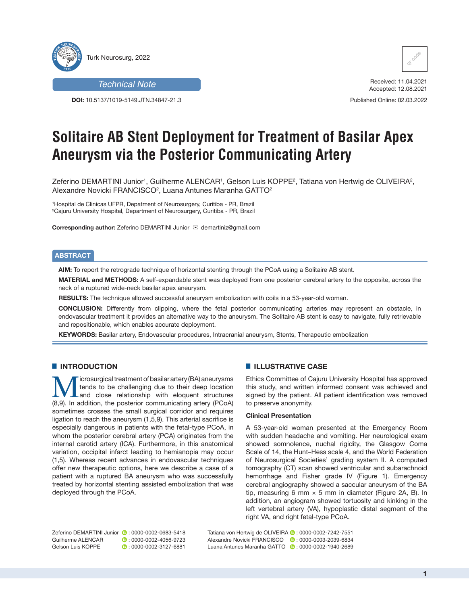

# *Technical Note*

**DOI:** 10.5137/1019-5149.JTN.34847-21.3



Received: 11.04.2021 Accepted: 12.08.2021

Published Online: 02.03.2022

# **Solitaire AB Stent Deployment for Treatment of Basilar Apex Aneurysm via the Posterior Communicating Artery**

Zeferino DEMARTINI Junior<sup>1</sup>, Guilherme ALENCAR<sup>1</sup>, Gelson Luis KOPPE<sup>2</sup>, Tatiana von Hertwig de OLIVEIRA<sup>2</sup>, Alexandre Novicki FRANCISCO<del>2, Luana Antunes Maranha GATTO2</del>

1 Hospital de Clinicas UFPR, Depatment of Neurosurgery, Curitiba - PR, Brazil 2 Cajuru University Hospital, Department of Neurosurgery, Curitiba - PR, Brazil

**Corresponding author:** Zeferino DEMARTINI Junior **⊠** demartiniz@gmail.com

## **ABSTRACT**

**AIM:** To report the retrograde technique of horizontal stenting through the PCoA using a Solitaire AB stent.

**MATERIAL and METHODS:** A self-expandable stent was deployed from one posterior cerebral artery to the opposite, across the neck of a ruptured wide-neck basilar apex aneurysm.

**RESULTS:** The technique allowed successful aneurysm embolization with coils in a 53-year-old woman.

**CONCLUSION:** Differently from clipping, where the fetal posterior communicating arteries may represent an obstacle, in endovascular treatment it provides an alternative way to the aneurysm. The Solitaire AB stent is easy to navigate, fully retrievable and repositionable, which enables accurate deployment.

**KEYWORDS:** Basilar artery, Endovascular procedures, Intracranial aneurysm, Stents, Therapeutic embolization

## $\blacksquare$  **INTRODUCTION**

icrosurgical treatment of basilar artery (BA) aneurysms tends to be challenging due to their deep location and close relationship with eloquent structures (8,9). In addition, the posterior communicating artery (PCoA) sometimes crosses the small surgical corridor and requires ligation to reach the aneurysm (1,5,9). This arterial sacrifice is especially dangerous in patients with the fetal-type PCoA, in whom the posterior cerebral artery (PCA) originates from the internal carotid artery (ICA). Furthermore, in this anatomical variation, occipital infarct leading to hemianopia may occur (1,5). Whereas recent advances in endovascular techniques offer new therapeutic options, here we describe a case of a patient with a ruptured BA aneurysm who was successfully treated by horizontal stenting assisted embolization that was deployed through the PCoA.

## **E** ILLUSTRATIVE CASE

Ethics Committee of Cajuru University Hospital has approved this study, and written informed consent was achieved and signed by the patient. All patient identification was removed to preserve anonymity.

## **Clinical Presentation**

A 53-year-old woman presented at the Emergency Room with sudden headache and vomiting. Her neurological exam showed somnolence, nuchal rigidity, the Glasgow Coma Scale of 14, the Hunt–Hess scale 4, and the World Federation of Neurosurgical Societies' grading system II. A computed tomography (CT) scan showed ventricular and subarachnoid hemorrhage and Fisher grade IV (Figure 1). Emergency cerebral angiography showed a saccular aneurysm of the BA tip, measuring 6 mm  $\times$  5 mm in diameter (Figure 2A, B). In addition, an angiogram showed tortuosity and kinking in the left vertebral artery (VA), hypoplastic distal segment of the right VA, and right fetal-type PCoA.

Zeferino DEMARTINI Junior **:** 0000-0002-0683-5418<br>Guilherme ALENCAR : 0000-0002-4056-9723 Gelson Luis KOPPE : 0000-0002-3127-6881

 $\bullet$  : 0000-0002-4056-9723

Tatiana von Hertwig de OLIVEIRA <sup>(b</sup> : 0000-0002-7242-7551 Alexandre Novicki FRANCISCO **D**: 0000-0003-2039-6834 Luana Antunes Maranha GATTO **D** · 0000-0002-1940-2689

**1**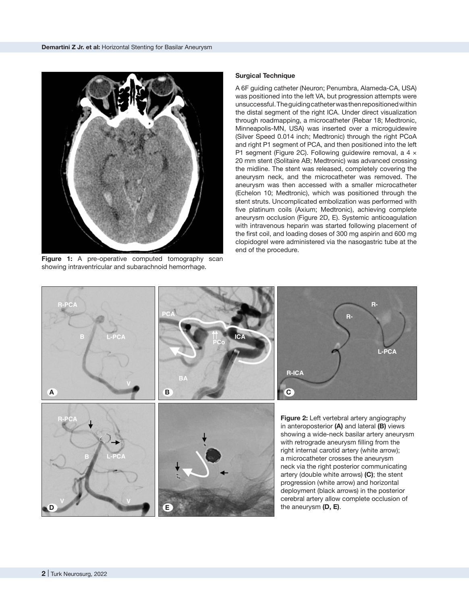

**Figure 1:** A pre-operative computed tomography scan showing intraventricular and subarachnoid hemorrhage.

#### **Surgical Technique**

A 6F guiding catheter (Neuron; Penumbra, Alameda-CA, USA) was positioned into the left VA, but progression attempts were unsuccessful. The guiding catheter was then repositioned within the distal segment of the right ICA. Under direct visualization through roadmapping, a microcatheter (Rebar 18; Medtronic, Minneapolis-MN, USA) was inserted over a microguidewire (Silver Speed 0.014 inch; Medtronic) through the right PCoA and right P1 segment of PCA, and then positioned into the left P1 segment (Figure 2C). Following guidewire removal, a 4 × 20 mm stent (Solitaire AB; Medtronic) was advanced crossing the midline. The stent was released, completely covering the aneurysm neck, and the microcatheter was removed. The aneurysm was then accessed with a smaller microcatheter (Echelon 10; Medtronic), which was positioned through the stent struts. Uncomplicated embolization was performed with five platinum coils (Axium; Medtronic), achieving complete aneurysm occlusion (Figure 2D, E). Systemic anticoagulation with intravenous heparin was started following placement of the first coil, and loading doses of 300 mg aspirin and 600 mg clopidogrel were administered via the nasogastric tube at the end of the procedure.

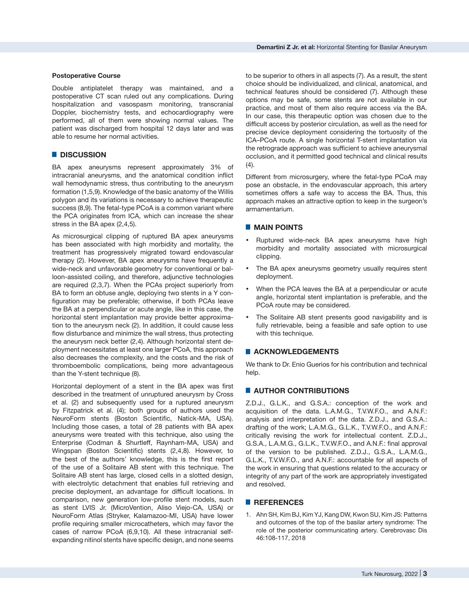#### **Postoperative Course**

Double antiplatelet therapy was maintained, and a postoperative CT scan ruled out any complications. During hospitalization and vasospasm monitoring, transcranial Doppler, biochemistry tests, and echocardiography were performed, all of them were showing normal values. The patient was discharged from hospital 12 days later and was able to resume her normal activities.

## █ **DISCUSSION**

BA apex aneurysms represent approximately 3% of intracranial aneurysms, and the anatomical condition inflict wall hemodynamic stress, thus contributing to the aneurysm formation (1,5,9). Knowledge of the basic anatomy of the Willis polygon and its variations is necessary to achieve therapeutic success (8,9). The fetal-type PCoA is a common variant where the PCA originates from ICA, which can increase the shear stress in the BA apex (2,4,5).

As microsurgical clipping of ruptured BA apex aneurysms has been associated with high morbidity and mortality, the treatment has progressively migrated toward endovascular therapy (2). However, BA apex aneurysms have frequently a wide-neck and unfavorable geometry for conventional or balloon-assisted coiling, and therefore, adjunctive technologies are required (2,3,7). When the PCAs project superiorly from BA to form an obtuse angle, deploying two stents in a Y configuration may be preferable; otherwise, if both PCAs leave the BA at a perpendicular or acute angle, like in this case, the horizontal stent implantation may provide better approximation to the aneurysm neck (2). In addition, it could cause less flow disturbance and minimize the wall stress, thus protecting the aneurysm neck better (2,4). Although horizontal stent deployment necessitates at least one larger PCoA, this approach also decreases the complexity, and the costs and the risk of thromboembolic complications, being more advantageous than the Y-stent technique (8).

Horizontal deployment of a stent in the BA apex was first described in the treatment of unruptured aneurysm by Cross et al. (2) and subsequently used for a ruptured aneurysm by Fitzpatrick et al. (4); both groups of authors used the NeuroForm stents (Boston Scientific, Natick-MA, USA). Including those cases, a total of 28 patients with BA apex aneurysms were treated with this technique, also using the Enterprise (Codman & Shurtleff, Raynham-MA, USA) and Wingspan (Boston Scientific) stents (2,4,8). However, to the best of the authors' knowledge, this is the first report of the use of a Solitaire AB stent with this technique. The Solitaire AB stent has large, closed cells in a slotted design, with electrolytic detachment that enables full retrieving and precise deployment, an advantage for difficult locations. In comparison, new generation low-profile stent models, such as stent LVIS Jr. (MicroVention, Aliso Viejo-CA, USA) or NeuroForm Atlas (Stryker, Kalamazoo-MI, USA) have lower profile requiring smaller microcatheters, which may favor the cases of narrow PCoA (6,9,10). All these intracranial selfexpanding nitinol stents have specific design, and none seems

to be superior to others in all aspects (7). As a result, the stent choice should be individualized, and clinical, anatomical, and technical features should be considered (7). Although these options may be safe, some stents are not available in our practice, and most of them also require access via the BA. In our case, this therapeutic option was chosen due to the difficult access by posterior circulation, as well as the need for precise device deployment considering the tortuosity of the ICA–PCoA route. A single horizontal T-stent implantation via the retrograde approach was sufficient to achieve aneurysmal occlusion, and it permitted good technical and clinical results  $(4).$ 

Different from microsurgery, where the fetal-type PCoA may pose an obstacle, in the endovascular approach, this artery sometimes offers a safe way to access the BA. Thus, this approach makes an attractive option to keep in the surgeon's armamentarium.

## █ **MAIN POINTS**

- Ruptured wide-neck BA apex aneurysms have high morbidity and mortality associated with microsurgical clipping.
- The BA apex aneurysms geometry usually requires stent deployment.
- When the PCA leaves the BA at a perpendicular or acute angle, horizontal stent implantation is preferable, and the PCoA route may be considered.
- The Solitaire AB stent presents good navigability and is fully retrievable, being a feasible and safe option to use with this technique.

## █ **ACKNOWLEDGEMENTS**

We thank to Dr. Enio Guerios for his contribution and technical help.

## **E** AUTHOR CONTRIBUTIONS

Z.D.J., G.L.K., and G.S.A.: conception of the work and acquisition of the data. L.A.M.G., T.V.W.F.O., and A.N.F.: analysis and interpretation of the data. Z.D.J., and G.S.A.: drafting of the work; L.A.M.G., G.L.K., T.V.W.F.O., and A.N.F.: critically revising the work for intellectual content. Z.D.J., G.S.A., L.A.M.G., G.L.K., T.V.W.F.O., and A.N.F.: final approval of the version to be published. Z.D.J., G.S.A., L.A.M.G., G.L.K., T.V.W.F.O., and A.N.F.: accountable for all aspects of the work in ensuring that questions related to the accuracy or integrity of any part of the work are appropriately investigated and resolved.

## █ **REFERENCES**

1. Ahn SH, Kim BJ, Kim YJ, Kang DW, Kwon SU, Kim JS: Patterns and outcomes of the top of the basilar artery syndrome: The role of the posterior communicating artery. Cerebrovasc Dis 46:108-117, 2018